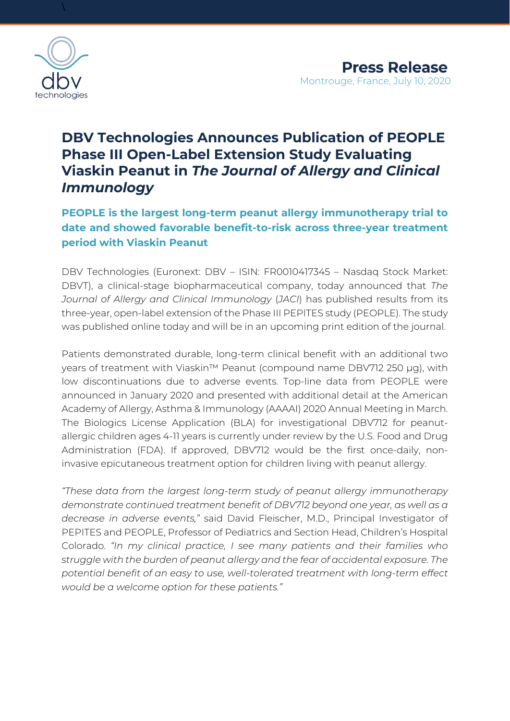

\

# **DBV Technologies Announces Publication of PEOPLE Phase III Open-Label Extension Study Evaluating Viaskin Peanut in** *The Journal of Allergy and Clinical Immunology*

# **PEOPLE is the largest long-term peanut allergy immunotherapy trial to date and showed favorable benefit-to-risk across three-year treatment period with Viaskin Peanut**

DBV Technologies (Euronext: DBV – ISIN: FR0010417345 – Nasdaq Stock Market: DBVT), a clinical-stage biopharmaceutical company, today announced that *The Journal of Allergy and Clinical Immunology* (*JACI*) has published results from its three-year, open-label extension of the Phase III PEPITES study (PEOPLE). The study was published online today and will be in an upcoming print edition of the journal.

Patients demonstrated durable, long-term clinical benefit with an additional two years of treatment with Viaskin™ Peanut (compound name DBV712 250 μg), with low discontinuations due to adverse events. Top-line data from PEOPLE were announced in January 2020 and presented with additional detail at the American Academy of Allergy, Asthma & Immunology (AAAAI) 2020 Annual Meeting in March. The Biologics License Application (BLA) for investigational DBV712 for peanutallergic children ages 4-11 years is currently under review by the U.S. Food and Drug Administration (FDA). If approved, DBV712 would be the first once-daily, noninvasive epicutaneous treatment option for children living with peanut allergy.

*"These data from the largest long-term study of peanut allergy immunotherapy demonstrate continued treatment benefit of DBV712 beyond one year, as well as a decrease in adverse events,"* said David Fleischer, M.D., Principal Investigator of PEPITES and PEOPLE, Professor of Pediatrics and Section Head, Children's Hospital Colorado. *"In my clinical practice, I see many patients and their families who struggle with the burden of peanut allergy and the fear of accidental exposure. The potential benefit of an easy to use, well-tolerated treatment with long-term effect would be a welcome option for these patients."*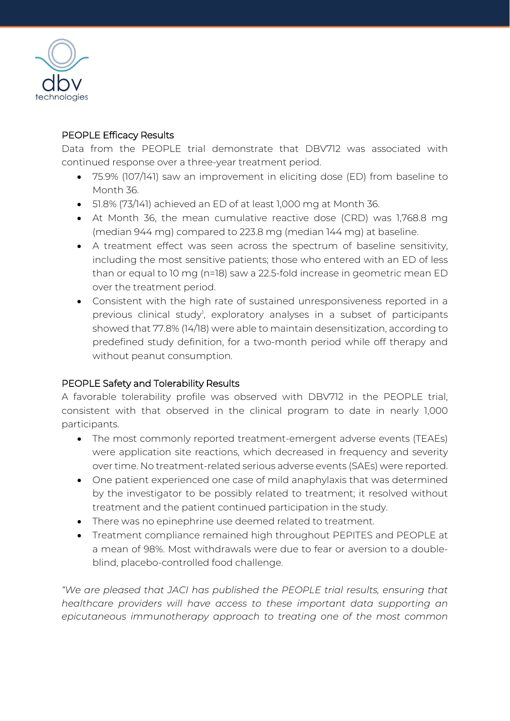

### PEOPLE Efficacy Results

Data from the PEOPLE trial demonstrate that DBV712 was associated with continued response over a three-year treatment period.

- 75.9% (107/141) saw an improvement in eliciting dose (ED) from baseline to Month 36.
- 51.8% (73/141) achieved an ED of at least 1,000 mg at Month 36.
- At Month 36, the mean cumulative reactive dose (CRD) was 1,768.8 mg (median 944 mg) compared to 223.8 mg (median 144 mg) at baseline.
- A treatment effect was seen across the spectrum of baseline sensitivity, including the most sensitive patients; those who entered with an ED of less than or equal to 10 mg (n=18) saw a 22.5-fold increase in geometric mean ED over the treatment period.
- Consistent with the high rate of sustained unresponsiveness reported in a previous clinical study<sup>1</sup>, exploratory analyses in a subset of participants showed that 77.8% (14/18) were able to maintain desensitization, according to predefined study definition, for a two-month period while off therapy and without peanut consumption.

## PEOPLE Safety and Tolerability Results

A favorable tolerability profile was observed with DBV712 in the PEOPLE trial, consistent with that observed in the clinical program to date in nearly 1,000 participants.

- The most commonly reported treatment-emergent adverse events (TEAEs) were application site reactions, which decreased in frequency and severity over time. No treatment-related serious adverse events (SAEs) were reported.
- One patient experienced one case of mild anaphylaxis that was determined by the investigator to be possibly related to treatment; it resolved without treatment and the patient continued participation in the study.
- There was no epinephrine use deemed related to treatment.
- Treatment compliance remained high throughout PEPITES and PEOPLE at a mean of 98%. Most withdrawals were due to fear or aversion to a doubleblind, placebo-controlled food challenge.

*"We are pleased that JACI has published the PEOPLE trial results, ensuring that healthcare providers will have access to these important data supporting an epicutaneous immunotherapy approach to treating one of the most common*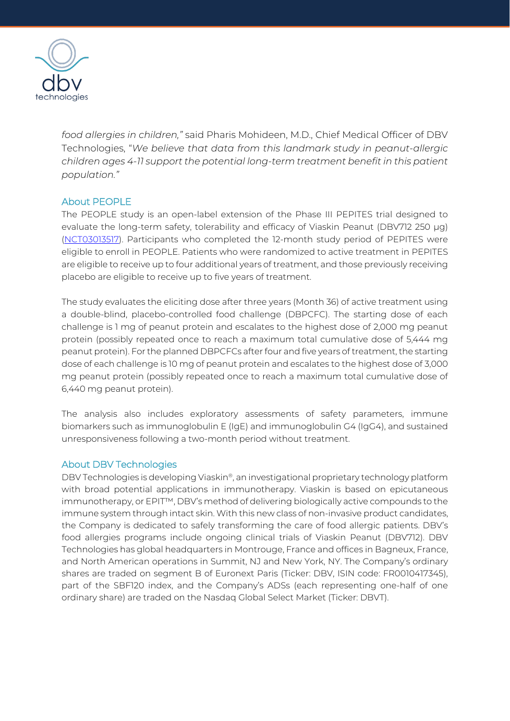

*food allergies in children,"* said Pharis Mohideen, M.D., Chief Medical Officer of DBV Technologies, "*We believe that data from this landmark study in peanut-allergic children ages 4-11 support the potential long-term treatment benefit in this patient population."*

#### About PEOPLE

The PEOPLE study is an open-label extension of the Phase III PEPITES trial designed to evaluate the long-term safety, tolerability and efficacy of Viaskin Peanut (DBV712 250 μg) [\(NCT03013517\)](https://clinicaltrials.gov/ct2/show/NCT03013517). Participants who completed the 12-month study period of PEPITES were eligible to enroll in PEOPLE. Patients who were randomized to active treatment in PEPITES are eligible to receive up to four additional years of treatment, and those previously receiving placebo are eligible to receive up to five years of treatment.

The study evaluates the eliciting dose after three years (Month 36) of active treatment using a double-blind, placebo-controlled food challenge (DBPCFC). The starting dose of each challenge is 1 mg of peanut protein and escalates to the highest dose of 2,000 mg peanut protein (possibly repeated once to reach a maximum total cumulative dose of 5,444 mg peanut protein). For the planned DBPCFCs after four and five years of treatment, the starting dose of each challenge is 10 mg of peanut protein and escalates to the highest dose of 3,000 mg peanut protein (possibly repeated once to reach a maximum total cumulative dose of 6,440 mg peanut protein).

The analysis also includes exploratory assessments of safety parameters, immune biomarkers such as immunoglobulin E (IgE) and immunoglobulin G4 (IgG4), and sustained unresponsiveness following a two-month period without treatment.

#### About DBV Technologies

DBV Technologies is developing Viaskin®, an investigational proprietary technology platform with broad potential applications in immunotherapy. Viaskin is based on epicutaneous immunotherapy, or EPIT™, DBV's method of delivering biologically active compounds to the immune system through intact skin. With this new class of non-invasive product candidates, the Company is dedicated to safely transforming the care of food allergic patients. DBV's food allergies programs include ongoing clinical trials of Viaskin Peanut (DBV712). DBV Technologies has global headquarters in Montrouge, France and offices in Bagneux, France, and North American operations in Summit, NJ and New York, NY. The Company's ordinary shares are traded on segment B of Euronext Paris (Ticker: DBV, ISIN code: FR0010417345), part of the SBF120 index, and the Company's ADSs (each representing one-half of one ordinary share) are traded on the Nasdaq Global Select Market (Ticker: DBVT).